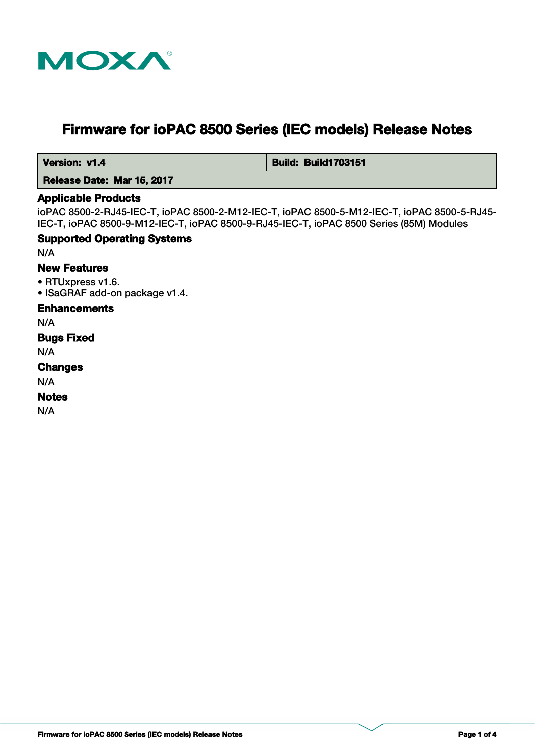

# **Firmware for ioPAC 8500 Series (IEC models) Release Notes**

 **Version: v1.4 Build: Build: Build1703151** 

 **Release Date: Mar 15, 2017**

#### **Applicable Products**

ioPAC 8500-2-RJ45-IEC-T, ioPAC 8500-2-M12-IEC-T, ioPAC 8500-5-M12-IEC-T, ioPAC 8500-5-RJ45- IEC-T, ioPAC 8500-9-M12-IEC-T, ioPAC 8500-9-RJ45-IEC-T, ioPAC 8500 Series (85M) Modules

### **Supported Operating Systems**

N/A

### **New Features**

• RTUxpress v1.6.

• ISaGRAF add-on package v1.4.

#### **Enhancements**

N/A

### **Bugs Fixed**

N/A

### **Changes**

N/A

#### **Notes**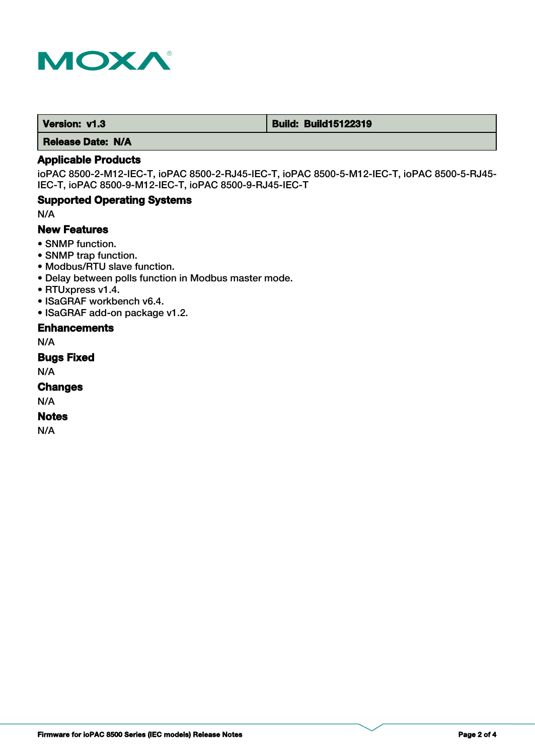

 **Version: v1.3 Build: Build: Build15122319** 

 **Release Date: N/A**

### **Applicable Products**

ioPAC 8500-2-M12-IEC-T, ioPAC 8500-2-RJ45-IEC-T, ioPAC 8500-5-M12-IEC-T, ioPAC 8500-5-RJ45- IEC-T, ioPAC 8500-9-M12-IEC-T, ioPAC 8500-9-RJ45-IEC-T

### **Supported Operating Systems**

N/A

### **New Features**

- SNMP function.
- SNMP trap function.
- Modbus/RTU slave function.
- Delay between polls function in Modbus master mode.
- RTUxpress v1.4.
- ISaGRAF workbench v6.4.
- ISaGRAF add-on package v1.2.

#### **Enhancements**

N/A

**Bugs Fixed**

N/A

**Changes**

N/A

#### **Notes**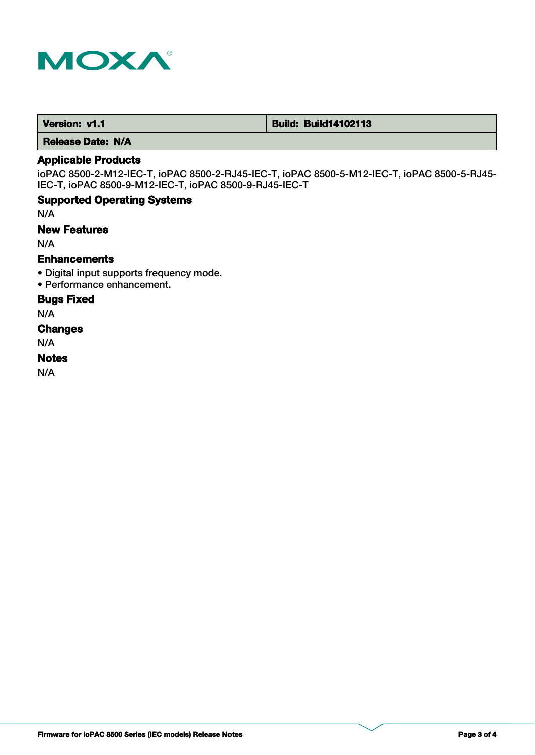

 **Version: v1.1 Build: Build14102113** 

 **Release Date: N/A**

### **Applicable Products**

ioPAC 8500-2-M12-IEC-T, ioPAC 8500-2-RJ45-IEC-T, ioPAC 8500-5-M12-IEC-T, ioPAC 8500-5-RJ45- IEC-T, ioPAC 8500-9-M12-IEC-T, ioPAC 8500-9-RJ45-IEC-T

### **Supported Operating Systems**

N/A

#### **New Features**

N/A

### **Enhancements**

- Digital input supports frequency mode.
- Performance enhancement.

### **Bugs Fixed**

N/A

# **Changes**

N/A

# **Notes**